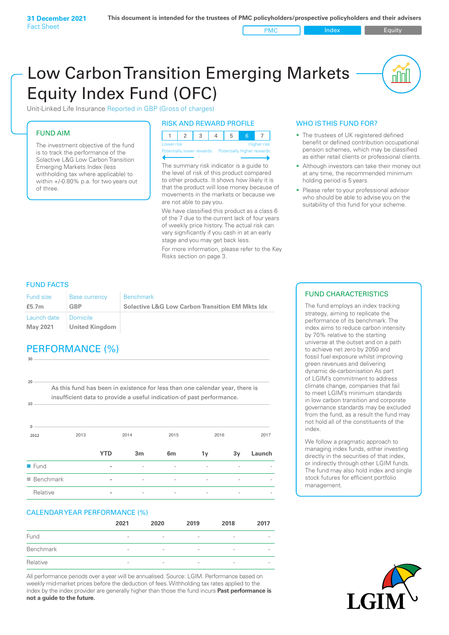PMC Index **Index** Equity

nn

# Low Carbon Transition Emerging Markets Equity Index Fund (OFC)

Unit-Linked Life Insurance Reported in GBP (Gross of charges)

### FUND AIM

The investment objective of the fund is to track the performance of the Solactive L&G Low Carbon Transition Emerging Markets Index (less withholding tax where applicable) to within +/-0.80% p.a. for two years out of three.

### RISK AND REWARD PROFILE

| Lower risk |  |  |  | <b>Higher risk</b> |
|------------|--|--|--|--------------------|

ntially lower rewards

The summary risk indicator is a guide to the level of risk of this product compared to other products. It shows how likely it is that the product will lose money because of movements in the markets or because we are not able to pay you.

We have classified this product as a class 6 of the 7 due to the current lack of four years of weekly price history. The actual risk can vary significantly if you cash in at an early stage and you may get back less.

For more information, please refer to the Key Risks section on page 3.

### WHO IS THIS FUND FOR?

- The trustees of UK registered defined benefit or defined contribution occupational pension schemes, which may be classified as either retail clients or professional clients.
- Although investors can take their money out at any time, the recommended minimum holding period is 5 years.
- Please refer to your professional advisor who should be able to advise you on the suitability of this fund for your scheme.

### FUND FACTS

**30**

| Fund size               | Base currency                | Benchmark                                                  |
|-------------------------|------------------------------|------------------------------------------------------------|
| £5.7 <sub>m</sub>       | GBP                          | <b>Solactive L&amp;G Low Carbon Transition EM Mkts Idx</b> |
| Launch date<br>May 2021 | I Domicile<br>United Kingdom |                                                            |

# PERFORMANCE (%)

**2012** 2013 2014 2015 2016 2017 **0 10 20** As this fund has been in existence for less than one calendar year, there is insufficient data to provide a useful indication of past performance. **YTD 3m 6m 1y 3y Launch** n Fund **-** - - - - n Benchmark **-** - - - - - Relative **-** - - - - -

### CALENDAR YEAR PERFORMANCE (%)

|           | 2021                     | 2020                     | 2019            | 2018                     | 2017                     |
|-----------|--------------------------|--------------------------|-----------------|--------------------------|--------------------------|
| Fund      | $\overline{\phantom{0}}$ | $\overline{\phantom{a}}$ | -               | -                        | $\overline{\phantom{a}}$ |
| Benchmark | $\overline{\phantom{0}}$ | $\overline{\phantom{a}}$ | -               | $\qquad \qquad$          | $\overline{\phantom{a}}$ |
| Relative  | $\overline{\phantom{a}}$ | $\qquad \qquad$          | $\qquad \qquad$ | $\overline{\phantom{0}}$ | $\overline{\phantom{a}}$ |

All performance periods over a year will be annualised. Source: LGIM. Performance based on weekly mid-market prices before the deduction of fees. Withholding tax rates applied to the index by the index provider are generally higher than those the fund incurs **Past performance is not a guide to the future.**

### FUND CHARACTERISTICS

The fund employs an index tracking strategy, aiming to replicate the performance of its benchmark. The index aims to reduce carbon intensity by 70% relative to the starting universe at the outset and on a path to achieve net zero by 2050 and fossil fuel exposure whilst improving green revenues and delivering dynamic de-carbonisation As part of LGIM's commitment to address climate change, companies that fail to meet LGIM's minimum standards in low carbon transition and corporate governance standards may be excluded from the fund, as a result the fund may not hold all of the constituents of the index.

We follow a pragmatic approach to managing index funds, either investing directly in the securities of that index, or indirectly through other LGIM funds. The fund may also hold index and single stock futures for efficient portfolio management.

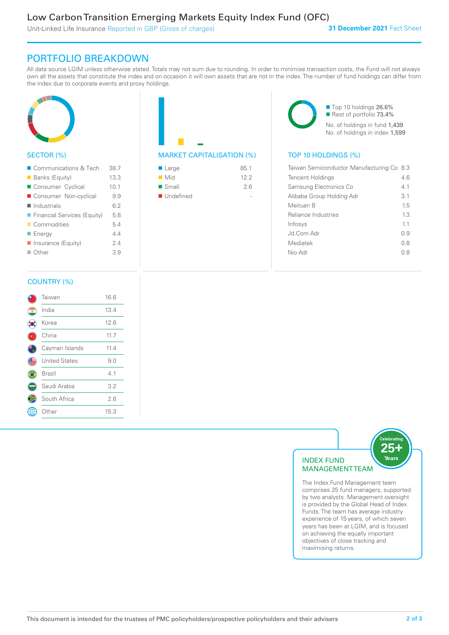Unit-Linked Life Insurance Reported in GBP (Gross of charges)

### PORTFOLIO BREAKDOWN

All data source LGIM unless otherwise stated. Totals may not sum due to rounding. In order to minimise transaction costs, the Fund will not always own all the assets that constitute the index and on occasion it will own assets that are not in the index. The number of fund holdings can differ from the index due to corporate events and proxy holdings.



### SECTOR (%)

| ■ Communications & Tech     | 38.7 |
|-----------------------------|------|
| ■ Banks (Equity)            | 13.3 |
| Consumer Cyclical           | 10.1 |
| ■ Consumer Non-cyclical     | 9.9  |
| $\blacksquare$ Industrials  | 6.2  |
| Financial Services (Equity) | 5.8  |
| Commodities                 | 5.4  |
| <b>Energy</b>               | 44   |
| Insurance (Equity)          | 24   |
| $\blacksquare$ Other        | 3.9  |
|                             |      |

# MARKET CAPITALISATION (%) TOP 10 HOLDINGS (%)

| ■ Large              | 85.1 |
|----------------------|------|
| $\blacksquare$ Mid   | 122  |
| $\blacksquare$ Small | 2.6  |
| ■ Undefined          |      |

■ Top 10 holdings 26.6% Rest of portfolio 73.4% No. of holdings in fund 1,439 No. of holdings in index 1,599

| Taiwan Semiconductor Manufacturing Co 8.3 |     |
|-------------------------------------------|-----|
| <b>Tencent Holdings</b>                   | 46  |
| Samsung Electronics Co                    | 41  |
| Alibaba Group Holding Adr                 | 3.1 |
| Meituan B                                 | 15  |
| Reliance Industries                       | 13  |
| Infosys                                   | 11  |
| Jd Com Adr                                | O 9 |
| Mediatek                                  | 0 S |
| Nio Adr                                   | 0.8 |
|                                           |     |

### COUNTRY (%)

|   | Taiwan               | 16.6 |  |
|---|----------------------|------|--|
| ۰ | India                | 13.4 |  |
|   | Korea                | 12.6 |  |
|   | China                | 11.7 |  |
|   | Cayman Islands       | 11.4 |  |
|   | <b>United States</b> | 9.0  |  |
|   | Brazil               | 4.1  |  |
|   | Saudi Arabia         | 3.2  |  |
|   | South Africa         | 2.6  |  |
|   | Other                | 15.3 |  |
|   |                      |      |  |



The Index Fund Management team comprises 25 fund managers, supported by two analysts. Management oversight is provided by the Global Head of Index Funds. The team has average industry experience of 15 years, of which seven years has been at LGIM, and is focused on achieving the equally important objectives of close tracking and maximising returns.